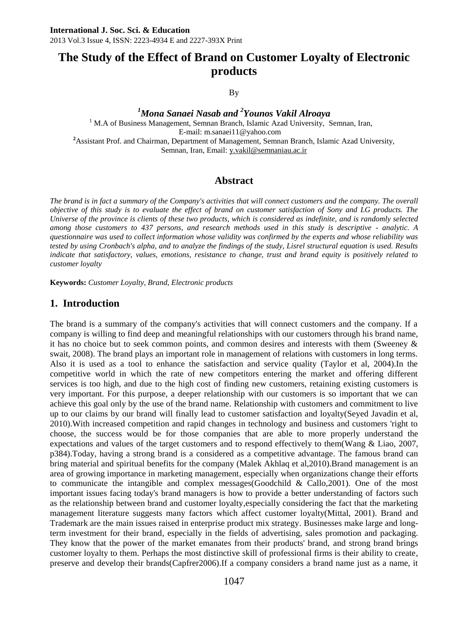# **The Study of the Effect of Brand on Customer Loyalty of Electronic products**

By

*<sup>1</sup>Mona Sanaei Nasab and <sup>2</sup>Younos Vakil Alroaya* <sup>1</sup> M.A of Business Management, Semnan Branch, Islamic Azad University, Semnan, Iran, E-mail: m.sanaei11@yahoo.com **<sup>2</sup>**Assistant Prof. and Chairman, Department of Management, Semnan Branch, Islamic Azad University, Semnan, Iran, Email[: y.vakil@semnaniau.ac.ir](mailto:y.vakil@semnaniau.ac.ir)

### **Abstract**

*The brand is in fact a summary of the Company's activities that will connect customers and the company. The overall objective of this study is to evaluate the effect of brand on customer satisfaction of Sony and LG products. The Universe of the province is clients of these two products, which is considered as indefinite, and is randomly selected among those customers to 437 persons, and research methods used in this study is descriptive - analytic. A questionnaire was used to collect information whose validity was confirmed by the experts and whose reliability was tested by using Cronbach's alpha, and to analyze the findings of the study, Lisrel structural equation is used. Results indicate that satisfactory, values, emotions, resistance to change, trust and brand equity is positively related to customer loyalty*

**Keywords:** *Customer Loyalty, Brand, Electronic products*

### **1. Introduction**

The brand is a summary of the company's activities that will connect customers and the company. If a company is willing to find deep and meaningful relationships with our customers through his brand name, it has no choice but to seek common points, and common desires and interests with them (Sweeney  $\&$ swait, 2008). The brand plays an important role in management of relations with customers in long terms. Also it is used as a tool to enhance the satisfaction and service quality (Taylor et al, 2004).In the competitive world in which the rate of new competitors entering the market and offering different services is too high, and due to the high cost of finding new customers, retaining existing customers is very important. For this purpose, a deeper relationship with our customers is so important that we can achieve this goal only by the use of the brand name. Relationship with customers and commitment to live up to our claims by our brand will finally lead to customer satisfaction and loyalty(Seyed Javadin et al, 2010).With increased competition and rapid changes in technology and business and customers 'right to choose, the success would be for those companies that are able to more properly understand the expectations and values of the target customers and to respond effectively to them(Wang & Liao, 2007, p384).Today, having a strong brand is a considered as a competitive advantage. The famous brand can bring material and spiritual benefits for the company (Malek Akhlaq et al,2010).Brand management is an area of growing importance in marketing management, especially when organizations change their efforts to communicate the intangible and complex messages(Goodchild & Callo,2001). One of the most important issues facing today's brand managers is how to provide a better understanding of factors such as the relationship between brand and customer loyalty,especially considering the fact that the marketing management literature suggests many factors which affect customer loyalty(Mittal, 2001). Brand and Trademark are the main issues raised in enterprise product mix strategy. Businesses make large and longterm investment for their brand, especially in the fields of advertising, sales promotion and packaging. They know that the power of the market emanates from their products' brand, and strong brand brings customer loyalty to them. Perhaps the most distinctive skill of professional firms is their ability to create, preserve and develop their brands(Capfrer2006).If a company considers a brand name just as a name, it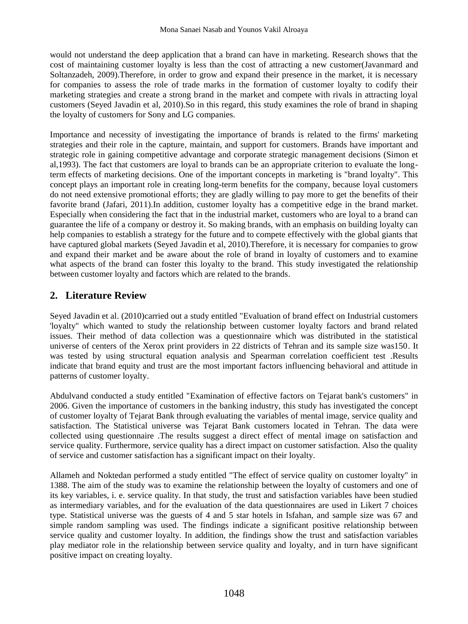would not understand the deep application that a brand can have in marketing. Research shows that the cost of maintaining customer loyalty is less than the cost of attracting a new customer(Javanmard and Soltanzadeh, 2009).Therefore, in order to grow and expand their presence in the market, it is necessary for companies to assess the role of trade marks in the formation of customer loyalty to codify their marketing strategies and create a strong brand in the market and compete with rivals in attracting loyal customers (Seyed Javadin et al, 2010).So in this regard, this study examines the role of brand in shaping the loyalty of customers for Sony and LG companies.

Importance and necessity of investigating the importance of brands is related to the firms' marketing strategies and their role in the capture, maintain, and support for customers. Brands have important and strategic role in gaining competitive advantage and corporate strategic management decisions (Simon et al,1993). The fact that customers are loyal to brands can be an appropriate criterion to evaluate the longterm effects of marketing decisions. One of the important concepts in marketing is "brand loyalty". This concept plays an important role in creating long-term benefits for the company, because loyal customers do not need extensive promotional efforts; they are gladly willing to pay more to get the benefits of their favorite brand (Jafari, 2011).In addition, customer loyalty has a competitive edge in the brand market. Especially when considering the fact that in the industrial market, customers who are loyal to a brand can guarantee the life of a company or destroy it. So making brands, with an emphasis on building loyalty can help companies to establish a strategy for the future and to compete effectively with the global giants that have captured global markets (Seyed Javadin et al, 2010).Therefore, it is necessary for companies to grow and expand their market and be aware about the role of brand in loyalty of customers and to examine what aspects of the brand can foster this loyalty to the brand. This study investigated the relationship between customer loyalty and factors which are related to the brands.

## **2. Literature Review**

Seyed Javadin et al. (2010)carried out a study entitled "Evaluation of brand effect on Industrial customers 'loyalty" which wanted to study the relationship between customer loyalty factors and brand related issues. Their method of data collection was a questionnaire which was distributed in the statistical universe of centers of the Xerox print providers in 22 districts of Tehran and its sample size was150. It was tested by using structural equation analysis and Spearman correlation coefficient test .Results indicate that brand equity and trust are the most important factors influencing behavioral and attitude in patterns of customer loyalty.

Abdulvand conducted a study entitled "Examination of effective factors on Tejarat bank's customers" in 2006. Given the importance of customers in the banking industry, this study has investigated the concept of customer loyalty of Tejarat Bank through evaluating the variables of mental image, service quality and satisfaction. The Statistical universe was Tejarat Bank customers located in Tehran. The data were collected using questionnaire .The results suggest a direct effect of mental image on satisfaction and service quality. Furthermore, service quality has a direct impact on customer satisfaction. Also the quality of service and customer satisfaction has a significant impact on their loyalty.

Allameh and Noktedan performed a study entitled "The effect of service quality on customer loyalty" in 1388. The aim of the study was to examine the relationship between the loyalty of customers and one of its key variables, i. e. service quality. In that study, the trust and satisfaction variables have been studied as intermediary variables, and for the evaluation of the data questionnaires are used in Likert 7 choices type. Statistical universe was the guests of 4 and 5 star hotels in Isfahan, and sample size was 67 and simple random sampling was used. The findings indicate a significant positive relationship between service quality and customer loyalty. In addition, the findings show the trust and satisfaction variables play mediator role in the relationship between service quality and loyalty, and in turn have significant positive impact on creating loyalty.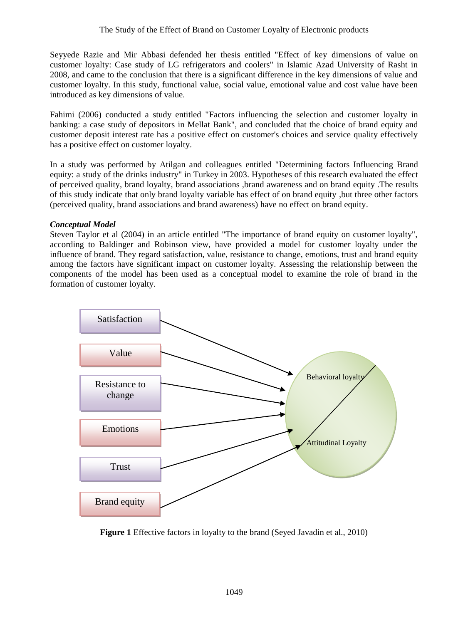Seyyede Razie and Mir Abbasi defended her thesis entitled "Effect of key dimensions of value on customer loyalty: Case study of LG refrigerators and coolers" in Islamic Azad University of Rasht in 2008, and came to the conclusion that there is a significant difference in the key dimensions of value and customer loyalty. In this study, functional value, social value, emotional value and cost value have been introduced as key dimensions of value.

Fahimi (2006) conducted a study entitled "Factors influencing the selection and customer loyalty in banking: a case study of depositors in Mellat Bank", and concluded that the choice of brand equity and customer deposit interest rate has a positive effect on customer's choices and service quality effectively has a positive effect on customer loyalty.

In a study was performed by Atilgan and colleagues entitled "Determining factors Influencing Brand equity: a study of the drinks industry" in Turkey in 2003. Hypotheses of this research evaluated the effect of perceived quality, brand loyalty, brand associations ,brand awareness and on brand equity .The results of this study indicate that only brand loyalty variable has effect of on brand equity ,but three other factors (perceived quality, brand associations and brand awareness) have no effect on brand equity.

#### *Conceptual Model*

Steven Taylor et al (2004) in an article entitled "The importance of brand equity on customer loyalty", according to Baldinger and Robinson view, have provided a model for customer loyalty under the influence of brand. They regard satisfaction, value, resistance to change, emotions, trust and brand equity among the factors have significant impact on customer loyalty. Assessing the relationship between the components of the model has been used as a conceptual model to examine the role of brand in the formation of customer loyalty.



**Figure 1** Effective factors in loyalty to the brand (Seyed Javadin et al., 2010)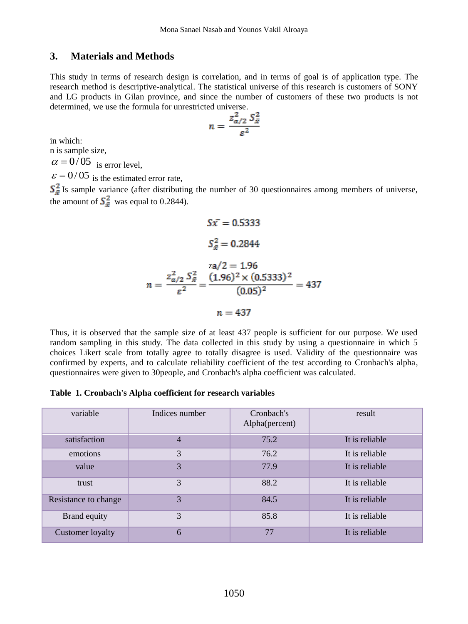### **3. Materials and Methods**

This study in terms of research design is correlation, and in terms of goal is of application type. The research method is descriptive-analytical. The statistical universe of this research is customers of SONY and LG products in Gilan province, and since the number of customers of these two products is not determined, we use the formula for unrestricted universe.

$$
n = \frac{z_{a/2}^2 S_{\bar{x}}^2}{\varepsilon^2}
$$

in which:

n is sample size,

 $\alpha = 0/05$  is error level,

 $\varepsilon$  = 0/05 is the estimated error rate,

Is sample variance (after distributing the number of 30 questionnaires among members of universe, the amount of  $S_{\overline{z}}^2$  was equal to 0.2844).

$$
Sx = 0.5333
$$

$$
S_{\tilde{x}}^2 = 0.2844
$$

$$
n = \frac{z_{\alpha/2}^2 S_{\tilde{x}}^2}{\varepsilon^2} = \frac{(1.96)^2 \times (0.5333)^2}{(0.05)^2} = 437
$$

$$
n = 437
$$

Thus, it is observed that the sample size of at least 437 people is sufficient for our purpose. We used random sampling in this study. The data collected in this study by using a questionnaire in which 5 choices Likert scale from totally agree to totally disagree is used. Validity of the questionnaire was confirmed by experts, and to calculate reliability coefficient of the test according to Cronbach's alpha, questionnaires were given to 30people, and Cronbach's alpha coefficient was calculated.

#### **Table 1. Cronbach's Alpha coefficient for research variables**

| variable             | Indices number | Cronbach's<br>Alpha(percent) | result         |
|----------------------|----------------|------------------------------|----------------|
| satisfaction         | $\overline{4}$ | 75.2                         | It is reliable |
| emotions             | 3              | 76.2                         | It is reliable |
| value                | 3              | 77.9                         | It is reliable |
| trust                | 3              | 88.2                         | It is reliable |
| Resistance to change | 3              | 84.5                         | It is reliable |
| Brand equity         | 3              | 85.8                         | It is reliable |
| Customer loyalty     | 6              | 77                           | It is reliable |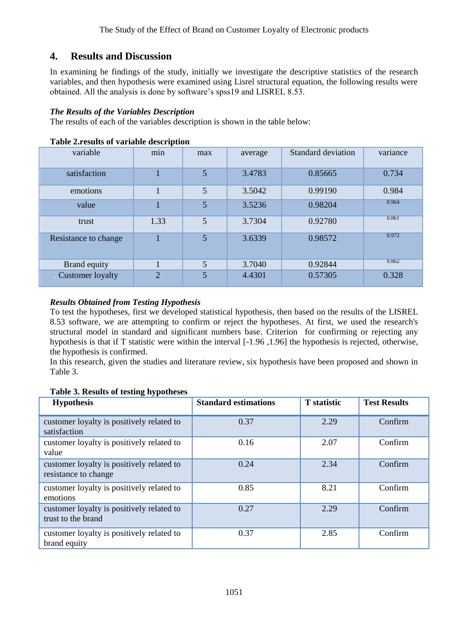## **4. Results and Discussion**

In examining he findings of the study, initially we investigate the descriptive statistics of the research variables, and then hypothesis were examined using Lisrel structural equation, the following results were obtained. All the analysis is done by software's spss19 and LISREL 8.53.

#### *The Results of the Variables Description*

The results of each of the variables description is shown in the table below:

| variable             | min            | max | average | Standard deviation | variance |
|----------------------|----------------|-----|---------|--------------------|----------|
| satisfaction         |                | 5   | 3.4783  | 0.85665            | 0.734    |
| emotions             |                | 5   | 3.5042  | 0.99190            | 0.984    |
| value                |                | 5   | 3.5236  | 0.98204            | 0.964    |
| trust                | 1.33           | 5   | 3.7304  | 0.92780            | 0.861    |
| Resistance to change |                | 5   | 3.6339  | 0.98572            | 0.972    |
| Brand equity         |                | 5   | 3.7040  | 0.92844            | 0.862    |
| Customer loyalty     | $\overline{2}$ | 5   | 4.4301  | 0.57305            | 0.328    |

#### **Table 2.results of variable description**

#### *Results Obtained from Testing Hypothesis*

To test the hypotheses, first we developed statistical hypothesis, then based on the results of the LISREL 8.53 software, we are attempting to confirm or reject the hypotheses. At first, we used the research's structural model in standard and significant numbers base. Criterion for confirming or rejecting any hypothesis is that if T statistic were within the interval [-1.96 ,1.96] the hypothesis is rejected, otherwise, the hypothesis is confirmed.

In this research, given the studies and literature review, six hypothesis have been proposed and shown in Table 3.

| <b>Hypothesis</b>                                                 | <b>Standard estimations</b> | <b>T</b> statistic | <b>Test Results</b> |
|-------------------------------------------------------------------|-----------------------------|--------------------|---------------------|
| customer loyalty is positively related to<br>satisfaction         | 0.37                        | 2.29               | Confirm             |
| customer loyalty is positively related to<br>value                | 0.16                        | 2.07               | Confirm             |
| customer loyalty is positively related to<br>resistance to change | 0.24                        | 2.34               | Confirm             |
| customer loyalty is positively related to<br>emotions             | 0.85                        | 8.21               | Confirm             |
| customer loyalty is positively related to<br>trust to the brand   | 0.27                        | 2.29               | Confirm             |
| customer loyalty is positively related to<br>brand equity         | 0.37                        | 2.85               | Confirm             |

#### **Table 3. Results of testing hypotheses**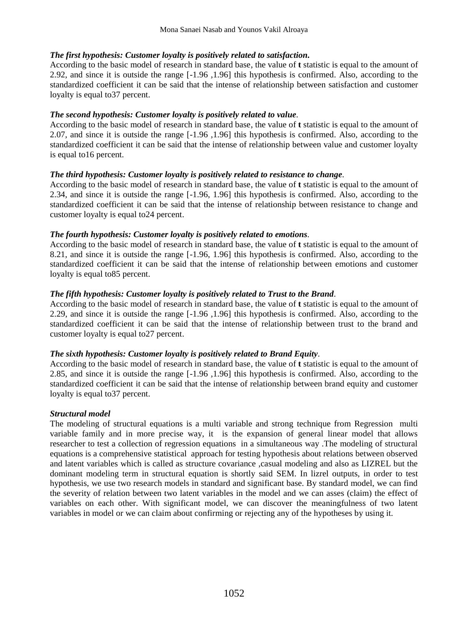### *The first hypothesis: Customer loyalty is positively related to satisfaction.*

According to the basic model of research in standard base, the value of **t** statistic is equal to the amount of 2.92, and since it is outside the range [-1.96 ,1.96] this hypothesis is confirmed. Also, according to the standardized coefficient it can be said that the intense of relationship between satisfaction and customer loyalty is equal to37 percent.

#### *The second hypothesis: Customer loyalty is positively related to value.*

According to the basic model of research in standard base, the value of **t** statistic is equal to the amount of 2.07, and since it is outside the range [-1.96 ,1.96] this hypothesis is confirmed. Also, according to the standardized coefficient it can be said that the intense of relationship between value and customer loyalty is equal to16 percent.

#### *The third hypothesis: Customer loyalty is positively related to resistance to change.*

According to the basic model of research in standard base, the value of **t** statistic is equal to the amount of 2.34, and since it is outside the range [-1.96, 1.96] this hypothesis is confirmed. Also, according to the standardized coefficient it can be said that the intense of relationship between resistance to change and customer loyalty is equal to24 percent.

#### *The fourth hypothesis: Customer loyalty is positively related to emotions.*

According to the basic model of research in standard base, the value of **t** statistic is equal to the amount of 8.21, and since it is outside the range [-1.96, 1.96] this hypothesis is confirmed. Also, according to the standardized coefficient it can be said that the intense of relationship between emotions and customer loyalty is equal to85 percent.

#### *The fifth hypothesis: Customer loyalty is positively related to Trust to the Brand.*

According to the basic model of research in standard base, the value of **t** statistic is equal to the amount of 2.29, and since it is outside the range [-1.96 ,1.96] this hypothesis is confirmed. Also, according to the standardized coefficient it can be said that the intense of relationship between trust to the brand and customer loyalty is equal to27 percent.

#### *The sixth hypothesis: Customer loyalty is positively related to Brand Equity.*

According to the basic model of research in standard base, the value of **t** statistic is equal to the amount of 2.85, and since it is outside the range [-1.96 ,1.96] this hypothesis is confirmed. Also, according to the standardized coefficient it can be said that the intense of relationship between brand equity and customer loyalty is equal to37 percent.

#### *Structural model*

The modeling of structural equations is a multi variable and strong technique from Regression multi variable family and in more precise way, it is the expansion of general linear model that allows researcher to test a collection of regression equations in a simultaneous way .The modeling of structural equations is a comprehensive statistical approach for testing hypothesis about relations between observed and latent variables which is called as structure covariance ,casual modeling and also as LIZREL but the dominant modeling term in structural equation is shortly said SEM. In lizrel outputs, in order to test hypothesis, we use two research models in standard and significant base. By standard model, we can find the severity of relation between two latent variables in the model and we can asses (claim) the effect of variables on each other. With significant model, we can discover the meaningfulness of two latent variables in model or we can claim about confirming or rejecting any of the hypotheses by using it.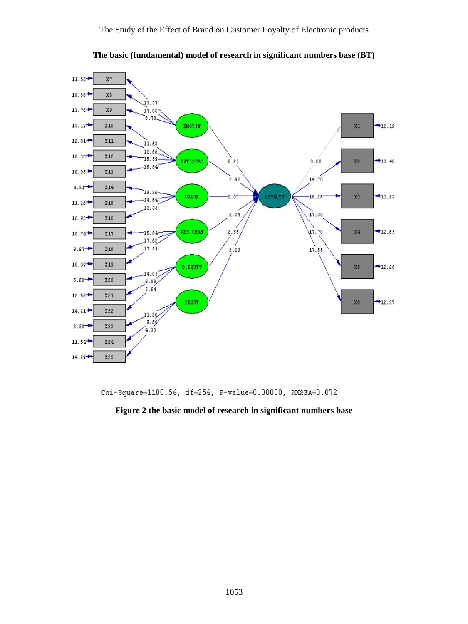

**The basic (fundamental) model of research in significant numbers base (BT)**

Chi-Square=1100.56, df=254, P-value=0.00000, RMSEA=0.072

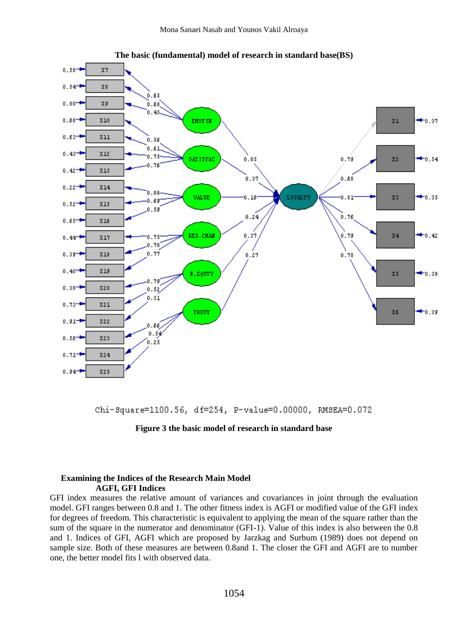

**The basic (fundamental) model of research in standard base(BS)**

Chi-Square=1100.56, df=254, P-value=0.00000, RMSEA=0.072



#### Examining the Indices of the Research Main Model . . . . . . . . . . .**AGFI, GFI Indices**

GFI index measures the relative amount of variances and covariances in joint through the evaluation model. GFI ranges between 0.8 and 1. The other fitness index is AGFI or modified value of the GFI index for degrees of freedom. This characteristic is equivalent to applying the mean of the square rather than the sum of the square in the numerator and denominator (GFI-1). Value of this index is also between the 0.8 and 1. Indices of GFI, AGFI which are proposed by Jarzkag and Surbum (1989) does not depend on sample size. Both of these measures are between 0.8and 1. The closer the GFI and AGFI are to number one, the better model fits l with observed data.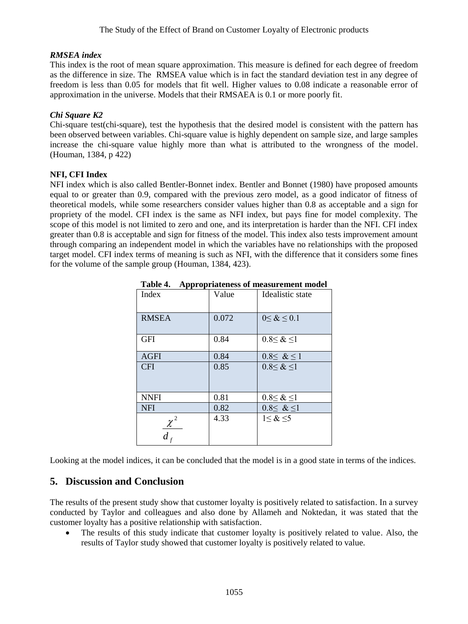#### *RMSEA index*

This index is the root of mean square approximation. This measure is defined for each degree of freedom as the difference in size. The RMSEA value which is in fact the standard deviation test in any degree of freedom is less than 0.05 for models that fit well. Higher values to 0.08 indicate a reasonable error of approximation in the universe. Models that their RMSAEA is 0.1 or more poorly fit.

### *Chi Square K2*

Chi-square test(chi-square), test the hypothesis that the desired model is consistent with the pattern has been observed between variables. Chi-square value is highly dependent on sample size, and large samples increase the chi-square value highly more than what is attributed to the wrongness of the model. (Houman, 1384, p 422)

#### **NFI, CFI Index**

NFI index which is also called Bentler-Bonnet index. Bentler and Bonnet (1980) have proposed amounts equal to or greater than 0.9, compared with the previous zero model, as a good indicator of fitness of theoretical models, while some researchers consider values higher than 0.8 as acceptable and a sign for propriety of the model. CFI index is the same as NFI index, but pays fine for model complexity. The scope of this model is not limited to zero and one, and its interpretation is harder than the NFI. CFI index greater than 0.8 is acceptable and sign for fitness of the model. This index also tests improvement amount through comparing an independent model in which the variables have no relationships with the proposed target model. CFI index terms of meaning is such as NFI, with the difference that it considers some fines for the volume of the sample group (Houman, 1384, 423).

| Index        | Value | Idealistic state     |
|--------------|-------|----------------------|
| <b>RMSEA</b> | 0.072 | $0 \leq \< 0.1$      |
| <b>GFI</b>   | 0.84  | $0.8 \leq \< 1$      |
| <b>AGFI</b>  | 0.84  | $0.8 \leq \< 1$      |
| <b>CFI</b>   | 0.85  | $0.8 \leq \& \leq 1$ |
| <b>NNFI</b>  | 0.81  | $0.8 \leq \< 1$      |
| <b>NFI</b>   | 0.82  | $0.8 \leq \& 1$      |
| $d_{\beta}$  | 4.33  | $1 < \& \leq 5$      |

**Table 4.... Appropriateness of measurement model**

Looking at the model indices, it can be concluded that the model is in a good state in terms of the indices.

# **5. Discussion and Conclusion**

The results of the present study show that customer loyalty is positively related to satisfaction. In a survey conducted by Taylor and colleagues and also done by Allameh and Noktedan, it was stated that the customer loyalty has a positive relationship with satisfaction.

 The results of this study indicate that customer loyalty is positively related to value. Also, the results of Taylor study showed that customer loyalty is positively related to value.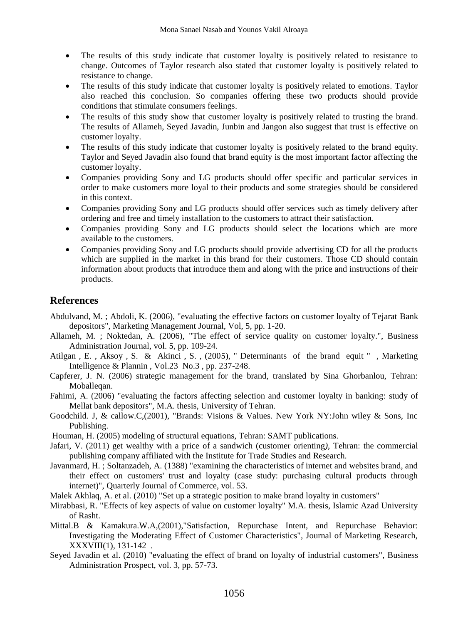- The results of this study indicate that customer loyalty is positively related to resistance to change. Outcomes of Taylor research also stated that customer loyalty is positively related to resistance to change.
- The results of this study indicate that customer loyalty is positively related to emotions. Taylor also reached this conclusion. So companies offering these two products should provide conditions that stimulate consumers feelings.
- The results of this study show that customer loyalty is positively related to trusting the brand. The results of Allameh, Seyed Javadin, Junbin and Jangon also suggest that trust is effective on customer loyalty.
- The results of this study indicate that customer loyalty is positively related to the brand equity. Taylor and Seyed Javadin also found that brand equity is the most important factor affecting the customer loyalty.
- Companies providing Sony and LG products should offer specific and particular services in order to make customers more loyal to their products and some strategies should be considered in this context.
- Companies providing Sony and LG products should offer services such as timely delivery after ordering and free and timely installation to the customers to attract their satisfaction.
- Companies providing Sony and LG products should select the locations which are more available to the customers.
- Companies providing Sony and LG products should provide advertising CD for all the products which are supplied in the market in this brand for their customers. Those CD should contain information about products that introduce them and along with the price and instructions of their products.

## **References**

- Abdulvand, M. ; Abdoli, K. (2006), "evaluating the effective factors on customer loyalty of Tejarat Bank depositors", Marketing Management Journal, Vol, 5, pp. 1-20.
- Allameh, M. ; Noktedan, A. (2006), "The effect of service quality on customer loyalty.", Business Administration Journal*,* vol. 5, pp. 109-24.
- Atilgan , E. , Aksoy , S. & Akinci , S. , (2005), " Determinants of the brand equit " , Marketing Intelligence & Plannin , Vol.23 No.3 , pp. 237-248.
- Capferer, J. N. (2006) strategic management for the brand, translated by Sina Ghorbanlou, Tehran: Moballeqan.
- Fahimi, A. (2006) "evaluating the factors affecting selection and customer loyalty in banking: study of Mellat bank depositors", M.A. thesis, University of Tehran.
- Goodchild. J, & callow.C,(2001), "Brands: Visions & Values. New York NY:John wiley & Sons, Inc Publishing.
- Houman, H. (2005) modeling of structural equations, Tehran: SAMT publications.
- Jafari, V. (2011) get wealthy with a price of a sandwich (customer orienting*)*, Tehran: the commercial publishing company affiliated with the Institute for Trade Studies and Research.
- Javanmard, H. ; Soltanzadeh, A. (1388) "examining the characteristics of internet and websites brand, and their effect on customers' trust and loyalty (case study: purchasing cultural products through internet)", Quarterly Journal of Commerce, vol. 53.
- Malek Akhlaq, A. et al. (2010) "Set up a strategic position to make brand loyalty in customers"
- Mirabbasi, R. "Effects of key aspects of value on customer loyalty" M.A. thesis, Islamic Azad University of Rasht.
- Mittal.B & Kamakura.W.A,(2001),"Satisfaction, Repurchase Intent, and Repurchase Behavior: Investigating the Moderating Effect of Customer Characteristics", Journal of Marketing Research, XXXVIII(1), 131-142 .
- Seyed Javadin et al. (2010) "evaluating the effect of brand on loyalty of industrial customers", Business Administration Prospect, vol. 3, pp. 57-73.